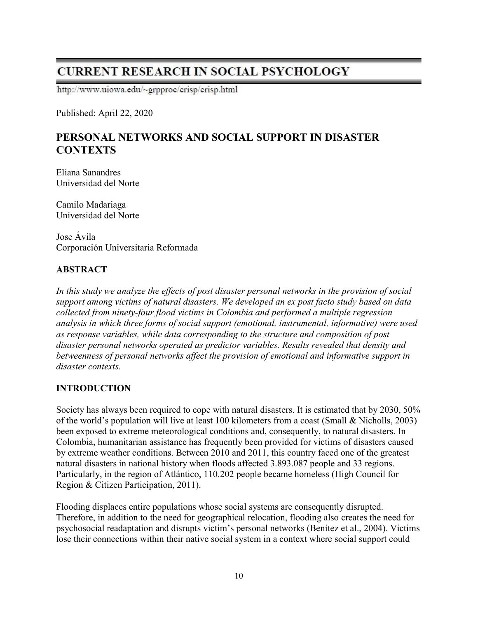# **CURRENT RESEARCH IN SOCIAL PSYCHOLOGY**

http://www.uiowa.edu/~grpproc/crisp/crisp.html

Published: April 22, 2020

## PERSONAL NETWORKS AND SOCIAL SUPPORT IN DISASTER **CONTEXTS**

Eliana Sanandres Universidad del Norte

Camilo Madariaga Universidad del Norte

Jose Ávila Corporación Universitaria Reformada

## ABSTRACT

In this study we analyze the effects of post disaster personal networks in the provision of social support among victims of natural disasters. We developed an ex post facto study based on data collected from ninety-four flood victims in Colombia and performed a multiple regression analysis in which three forms of social support (emotional, instrumental, informative) were used as response variables, while data corresponding to the structure and composition of post disaster personal networks operated as predictor variables. Results revealed that density and betweenness of personal networks affect the provision of emotional and informative support in disaster contexts.

### INTRODUCTION

Society has always been required to cope with natural disasters. It is estimated that by 2030, 50% of the world's population will live at least 100 kilometers from a coast (Small & Nicholls, 2003) been exposed to extreme meteorological conditions and, consequently, to natural disasters. In Colombia, humanitarian assistance has frequently been provided for victims of disasters caused by extreme weather conditions. Between 2010 and 2011, this country faced one of the greatest natural disasters in national history when floods affected 3.893.087 people and 33 regions. Particularly, in the region of Atlántico, 110.202 people became homeless (High Council for Region & Citizen Participation, 2011).

Flooding displaces entire populations whose social systems are consequently disrupted. Therefore, in addition to the need for geographical relocation, flooding also creates the need for psychosocial readaptation and disrupts victim's personal networks (Benítez et al., 2004). Victims lose their connections within their native social system in a context where social support could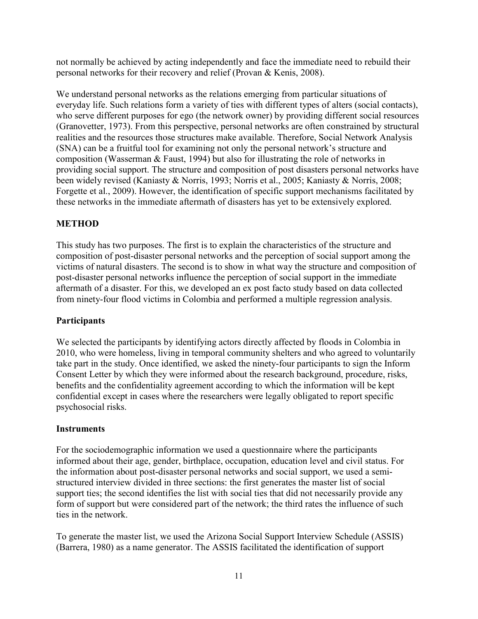not normally be achieved by acting independently and face the immediate need to rebuild their personal networks for their recovery and relief (Provan & Kenis, 2008).

We understand personal networks as the relations emerging from particular situations of everyday life. Such relations form a variety of ties with different types of alters (social contacts), who serve different purposes for ego (the network owner) by providing different social resources (Granovetter, 1973). From this perspective, personal networks are often constrained by structural realities and the resources those structures make available. Therefore, Social Network Analysis (SNA) can be a fruitful tool for examining not only the personal network's structure and composition (Wasserman & Faust, 1994) but also for illustrating the role of networks in providing social support. The structure and composition of post disasters personal networks have been widely revised (Kaniasty & Norris, 1993; Norris et al., 2005; Kaniasty & Norris, 2008; Forgette et al., 2009). However, the identification of specific support mechanisms facilitated by these networks in the immediate aftermath of disasters has yet to be extensively explored.

## **METHOD**

This study has two purposes. The first is to explain the characteristics of the structure and composition of post-disaster personal networks and the perception of social support among the victims of natural disasters. The second is to show in what way the structure and composition of post-disaster personal networks influence the perception of social support in the immediate aftermath of a disaster. For this, we developed an ex post facto study based on data collected from ninety-four flood victims in Colombia and performed a multiple regression analysis.

### **Participants**

We selected the participants by identifying actors directly affected by floods in Colombia in 2010, who were homeless, living in temporal community shelters and who agreed to voluntarily take part in the study. Once identified, we asked the ninety-four participants to sign the Inform Consent Letter by which they were informed about the research background, procedure, risks, benefits and the confidentiality agreement according to which the information will be kept confidential except in cases where the researchers were legally obligated to report specific psychosocial risks.

#### **Instruments**

For the sociodemographic information we used a questionnaire where the participants informed about their age, gender, birthplace, occupation, education level and civil status. For the information about post-disaster personal networks and social support, we used a semistructured interview divided in three sections: the first generates the master list of social support ties; the second identifies the list with social ties that did not necessarily provide any form of support but were considered part of the network; the third rates the influence of such ties in the network.

To generate the master list, we used the Arizona Social Support Interview Schedule (ASSIS) (Barrera, 1980) as a name generator. The ASSIS facilitated the identification of support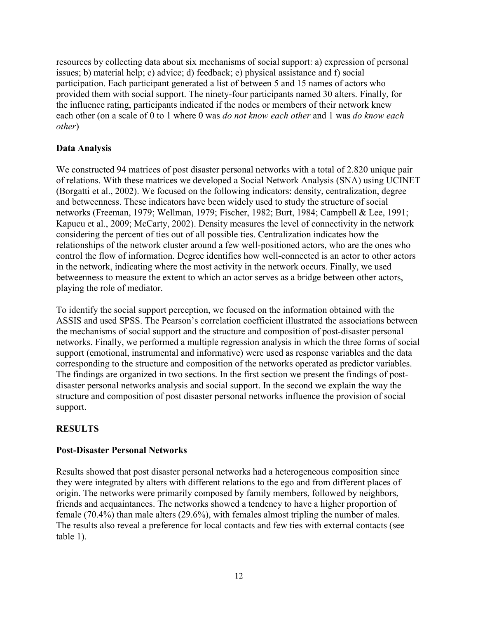resources by collecting data about six mechanisms of social support: a) expression of personal issues; b) material help; c) advice; d) feedback; e) physical assistance and f) social participation. Each participant generated a list of between 5 and 15 names of actors who provided them with social support. The ninety-four participants named 30 alters. Finally, for the influence rating, participants indicated if the nodes or members of their network knew each other (on a scale of 0 to 1 where 0 was do not know each other and 1 was do know each other)

## Data Analysis

We constructed 94 matrices of post disaster personal networks with a total of 2.820 unique pair of relations. With these matrices we developed a Social Network Analysis (SNA) using UCINET (Borgatti et al., 2002). We focused on the following indicators: density, centralization, degree and betweenness. These indicators have been widely used to study the structure of social networks (Freeman, 1979; Wellman, 1979; Fischer, 1982; Burt, 1984; Campbell & Lee, 1991; Kapucu et al., 2009; McCarty, 2002). Density measures the level of connectivity in the network considering the percent of ties out of all possible ties. Centralization indicates how the relationships of the network cluster around a few well-positioned actors, who are the ones who control the flow of information. Degree identifies how well-connected is an actor to other actors in the network, indicating where the most activity in the network occurs. Finally, we used betweenness to measure the extent to which an actor serves as a bridge between other actors, playing the role of mediator.

To identify the social support perception, we focused on the information obtained with the ASSIS and used SPSS. The Pearson's correlation coefficient illustrated the associations between the mechanisms of social support and the structure and composition of post-disaster personal networks. Finally, we performed a multiple regression analysis in which the three forms of social support (emotional, instrumental and informative) were used as response variables and the data corresponding to the structure and composition of the networks operated as predictor variables. The findings are organized in two sections. In the first section we present the findings of postdisaster personal networks analysis and social support. In the second we explain the way the structure and composition of post disaster personal networks influence the provision of social support.

### **RESULTS**

### Post-Disaster Personal Networks

Results showed that post disaster personal networks had a heterogeneous composition since they were integrated by alters with different relations to the ego and from different places of origin. The networks were primarily composed by family members, followed by neighbors, friends and acquaintances. The networks showed a tendency to have a higher proportion of female (70.4%) than male alters (29.6%), with females almost tripling the number of males. The results also reveal a preference for local contacts and few ties with external contacts (see table 1).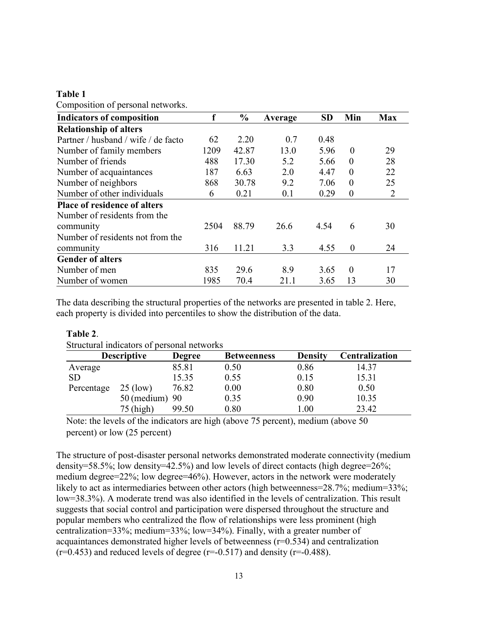| COMPOSITION OF PETSONAL HELWOLKS.   |      |       |         |           |                |                |
|-------------------------------------|------|-------|---------|-----------|----------------|----------------|
| <b>Indicators of composition</b>    |      | $\%$  | Average | <b>SD</b> | Min            | <b>Max</b>     |
| <b>Relationship of alters</b>       |      |       |         |           |                |                |
| Partner / husband / wife / de facto | 62   | 2.20  | 0.7     | 0.48      |                |                |
| Number of family members            | 1209 | 42.87 | 13.0    | 5.96      | $\overline{0}$ | 29             |
| Number of friends                   | 488  | 17.30 | 5.2     | 5.66      | $\theta$       | 28             |
| Number of acquaintances             | 187  | 6.63  | 2.0     | 4.47      | $\theta$       | 22             |
| Number of neighbors                 | 868  | 30.78 | 9.2     | 7.06      | $\theta$       | 25             |
| Number of other individuals         | 6    | 0.21  | 0.1     | 0.29      | $\overline{0}$ | $\overline{2}$ |
| <b>Place of residence of alters</b> |      |       |         |           |                |                |
| Number of residents from the        |      |       |         |           |                |                |
| community                           | 2504 | 88.79 | 26.6    | 4.54      | 6              | 30             |
| Number of residents not from the    |      |       |         |           |                |                |
| community                           | 316  | 11.21 | 3.3     | 4.55      | $\overline{0}$ | 24             |
| <b>Gender of alters</b>             |      |       |         |           |                |                |
| Number of men                       | 835  | 29.6  | 8.9     | 3.65      | $\mathbf{0}$   | 17             |
| Number of women                     | 1985 | 70.4  | 21.1    | 3.65      | 13             | 30             |

Table 1 Composition of personal networks.

The data describing the structural properties of the networks are presented in table 2. Here, each property is divided into percentiles to show the distribution of the data.

| TADIV 4.                                   |                    |               |                    |                |                |  |  |  |
|--------------------------------------------|--------------------|---------------|--------------------|----------------|----------------|--|--|--|
| Structural indicators of personal networks |                    |               |                    |                |                |  |  |  |
|                                            | <b>Descriptive</b> | <b>Degree</b> | <b>Betweenness</b> | <b>Density</b> | Centralization |  |  |  |
| Average                                    |                    | 85.81         | 0.50               | 0.86           | 14.37          |  |  |  |
| SD <sub>1</sub>                            |                    | 15.35         | 0.55               | 0.15           | 15.31          |  |  |  |
| Percentage                                 | $25$ (low)         | 76.82         | 0.00               | 0.80           | 0.50           |  |  |  |
|                                            | $50$ (medium) $90$ |               | 0.35               | 0.90           | 10.35          |  |  |  |
|                                            | 75 (high)          | 99.50         | 0.80               | 1.00           | 23.42          |  |  |  |

### Table 2.

Note: the levels of the indicators are high (above 75 percent), medium (above 50

percent) or low (25 percent)

The structure of post-disaster personal networks demonstrated moderate connectivity (medium density=58.5%; low density=42.5%) and low levels of direct contacts (high degree=26%; medium degree=22%; low degree=46%). However, actors in the network were moderately likely to act as intermediaries between other actors (high betweenness=28.7%; medium=33%; low=38.3%). A moderate trend was also identified in the levels of centralization. This result suggests that social control and participation were dispersed throughout the structure and popular members who centralized the flow of relationships were less prominent (high centralization=33%; medium=33%; low=34%). Finally, with a greater number of acquaintances demonstrated higher levels of betweenness (r=0.534) and centralization  $(r=0.453)$  and reduced levels of degree  $(r=-0.517)$  and density  $(r=-0.488)$ .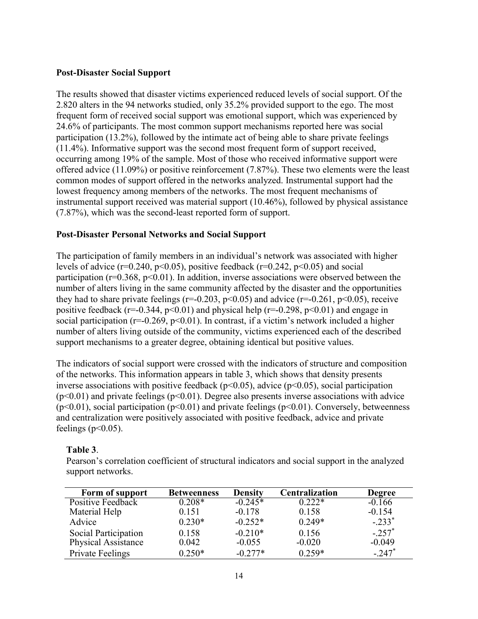#### Post-Disaster Social Support

The results showed that disaster victims experienced reduced levels of social support. Of the 2.820 alters in the 94 networks studied, only 35.2% provided support to the ego. The most frequent form of received social support was emotional support, which was experienced by 24.6% of participants. The most common support mechanisms reported here was social participation (13.2%), followed by the intimate act of being able to share private feelings (11.4%). Informative support was the second most frequent form of support received, occurring among 19% of the sample. Most of those who received informative support were offered advice (11.09%) or positive reinforcement (7.87%). These two elements were the least common modes of support offered in the networks analyzed. Instrumental support had the lowest frequency among members of the networks. The most frequent mechanisms of instrumental support received was material support (10.46%), followed by physical assistance (7.87%), which was the second-least reported form of support.

#### Post-Disaster Personal Networks and Social Support

The participation of family members in an individual's network was associated with higher levels of advice ( $r=0.240$ ,  $p<0.05$ ), positive feedback ( $r=0.242$ ,  $p<0.05$ ) and social participation ( $r=0.368$ ,  $p<0.01$ ). In addition, inverse associations were observed between the number of alters living in the same community affected by the disaster and the opportunities they had to share private feelings ( $r=-0.203$ ,  $p<0.05$ ) and advice ( $r=-0.261$ ,  $p<0.05$ ), receive positive feedback ( $r=-0.344$ ,  $p<0.01$ ) and physical help ( $r=-0.298$ ,  $p<0.01$ ) and engage in social participation ( $r=0.269$ ,  $p<0.01$ ). In contrast, if a victim's network included a higher number of alters living outside of the community, victims experienced each of the described support mechanisms to a greater degree, obtaining identical but positive values.

The indicators of social support were crossed with the indicators of structure and composition of the networks. This information appears in table 3, which shows that density presents inverse associations with positive feedback ( $p<0.05$ ), advice ( $p<0.05$ ), social participation  $(p<0.01)$  and private feelings  $(p<0.01)$ . Degree also presents inverse associations with advice ( $p$ <0.01), social participation ( $p$ <0.01) and private feelings ( $p$ <0.01). Conversely, betweenness and centralization were positively associated with positive feedback, advice and private feelings ( $p<0.05$ ).

#### Table 3.

Pearson's correlation coefficient of structural indicators and social support in the analyzed support networks.

| Form of support            | <b>Betweenness</b> | <b>Density</b> | Centralization | <b>Degree</b>        |
|----------------------------|--------------------|----------------|----------------|----------------------|
| Positive Feedback          | $0.208*$           | $-0.245*$      | $0.222*$       | $-0.166$             |
| Material Help              | 0.151              | $-0.178$       | 0.158          | $-0.154$             |
| Advice                     | $0.230*$           | $-0.252*$      | $0.249*$       | $-.233*$             |
| Social Participation       | 0.158              | $-0.210*$      | 0.156          | $-.257$ <sup>*</sup> |
| <b>Physical Assistance</b> | 0.042              | $-0.055$       | $-0.020$       | $-0.049$             |
| <b>Private Feelings</b>    | $0.250*$           | $-0.277*$      | $0.259*$       | $-.247$ <sup>*</sup> |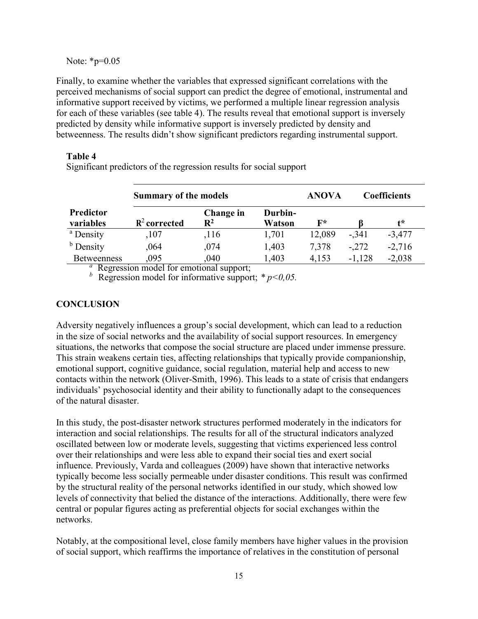Note: \*p=0.05

Finally, to examine whether the variables that expressed significant correlations with the perceived mechanisms of social support can predict the degree of emotional, instrumental and informative support received by victims, we performed a multiple linear regression analysis for each of these variables (see table 4). The results reveal that emotional support is inversely predicted by density while informative support is inversely predicted by density and betweenness. The results didn't show significant predictors regarding instrumental support.

### Table 4

Significant predictors of the regression results for social support

|                                  | <b>Summary of the models</b> |                                                                                                                         | <b>ANOVA</b>      | <b>Coefficients</b> |          |          |
|----------------------------------|------------------------------|-------------------------------------------------------------------------------------------------------------------------|-------------------|---------------------|----------|----------|
| <b>Predictor</b><br>variables    | $R^2$ corrected              | Change in<br>$\mathbf{R}^2$                                                                                             | Durbin-<br>Watson | $\mathbf{F}^*$      |          | t*       |
| <sup>a</sup> Density             | ,107                         | ,116                                                                                                                    | 1,701             | 12,089              | $-.341$  | $-3,477$ |
| <sup>b</sup> Density             | ,064                         | ,074                                                                                                                    | 1,403             | 7,378               | $-.272$  | $-2,716$ |
| <b>Betweenness</b><br>$\alpha$ n | .095<br>11 C                 | ,040<br>and the state of the state of the state of the state of the state of the state of the state of the state of the | 1,403             | 4,153               | $-1,128$ | $-2,038$ |

Regression model for emotional support;

 $b$  Regression model for informative support;  $* p < 0.05$ .

## **CONCLUSION**

Adversity negatively influences a group's social development, which can lead to a reduction in the size of social networks and the availability of social support resources. In emergency situations, the networks that compose the social structure are placed under immense pressure. This strain weakens certain ties, affecting relationships that typically provide companionship, emotional support, cognitive guidance, social regulation, material help and access to new contacts within the network (Oliver-Smith, 1996). This leads to a state of crisis that endangers individuals' psychosocial identity and their ability to functionally adapt to the consequences of the natural disaster.

In this study, the post-disaster network structures performed moderately in the indicators for interaction and social relationships. The results for all of the structural indicators analyzed oscillated between low or moderate levels, suggesting that victims experienced less control over their relationships and were less able to expand their social ties and exert social influence. Previously, Varda and colleagues (2009) have shown that interactive networks typically become less socially permeable under disaster conditions. This result was confirmed by the structural reality of the personal networks identified in our study, which showed low levels of connectivity that belied the distance of the interactions. Additionally, there were few central or popular figures acting as preferential objects for social exchanges within the networks.

Notably, at the compositional level, close family members have higher values in the provision of social support, which reaffirms the importance of relatives in the constitution of personal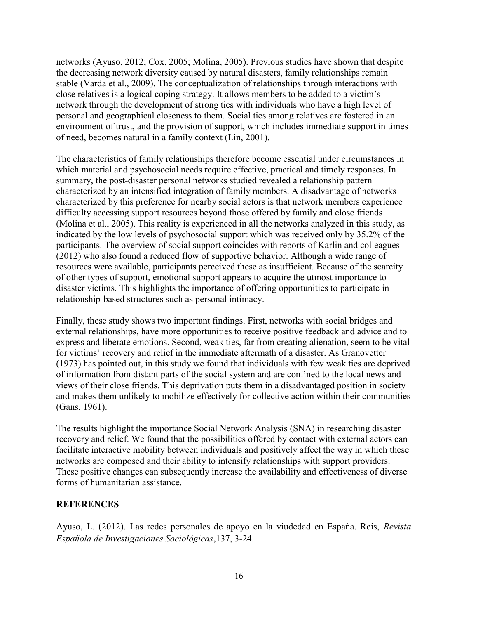networks (Ayuso, 2012; Cox, 2005; Molina, 2005). Previous studies have shown that despite the decreasing network diversity caused by natural disasters, family relationships remain stable (Varda et al., 2009). The conceptualization of relationships through interactions with close relatives is a logical coping strategy. It allows members to be added to a victim's network through the development of strong ties with individuals who have a high level of personal and geographical closeness to them. Social ties among relatives are fostered in an environment of trust, and the provision of support, which includes immediate support in times of need, becomes natural in a family context (Lin, 2001).

The characteristics of family relationships therefore become essential under circumstances in which material and psychosocial needs require effective, practical and timely responses. In summary, the post-disaster personal networks studied revealed a relationship pattern characterized by an intensified integration of family members. A disadvantage of networks characterized by this preference for nearby social actors is that network members experience difficulty accessing support resources beyond those offered by family and close friends (Molina et al., 2005). This reality is experienced in all the networks analyzed in this study, as indicated by the low levels of psychosocial support which was received only by 35.2% of the participants. The overview of social support coincides with reports of Karlin and colleagues (2012) who also found a reduced flow of supportive behavior. Although a wide range of resources were available, participants perceived these as insufficient. Because of the scarcity of other types of support, emotional support appears to acquire the utmost importance to disaster victims. This highlights the importance of offering opportunities to participate in relationship-based structures such as personal intimacy.

Finally, these study shows two important findings. First, networks with social bridges and external relationships, have more opportunities to receive positive feedback and advice and to express and liberate emotions. Second, weak ties, far from creating alienation, seem to be vital for victims' recovery and relief in the immediate aftermath of a disaster. As Granovetter (1973) has pointed out, in this study we found that individuals with few weak ties are deprived of information from distant parts of the social system and are confined to the local news and views of their close friends. This deprivation puts them in a disadvantaged position in society and makes them unlikely to mobilize effectively for collective action within their communities (Gans, 1961).

The results highlight the importance Social Network Analysis (SNA) in researching disaster recovery and relief. We found that the possibilities offered by contact with external actors can facilitate interactive mobility between individuals and positively affect the way in which these networks are composed and their ability to intensify relationships with support providers. These positive changes can subsequently increase the availability and effectiveness of diverse forms of humanitarian assistance.

### **REFERENCES**

Ayuso, L. (2012). Las redes personales de apoyo en la viudedad en España. Reis, Revista Española de Investigaciones Sociológicas,137, 3-24.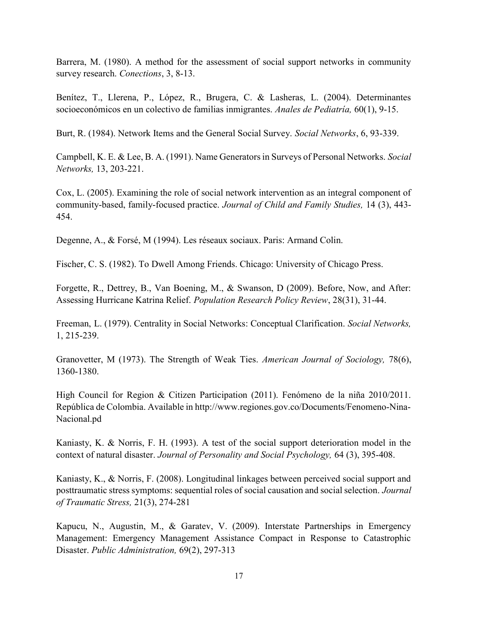Barrera, M. (1980). A method for the assessment of social support networks in community survey research. Conections, 3, 8-13.

Benítez, T., Llerena, P., López, R., Brugera, C. & Lasheras, L. (2004). Determinantes socioeconómicos en un colectivo de familias inmigrantes. Anales de Pediatría, 60(1), 9-15.

Burt, R. (1984). Network Items and the General Social Survey. Social Networks, 6, 93-339.

Campbell, K. E. & Lee, B. A. (1991). Name Generators in Surveys of Personal Networks. Social Networks, 13, 203-221.

Cox, L. (2005). Examining the role of social network intervention as an integral component of community-based, family-focused practice. Journal of Child and Family Studies, 14 (3), 443- 454.

Degenne, A., & Forsé, M (1994). Les réseaux sociaux. Paris: Armand Colin.

Fischer, C. S. (1982). To Dwell Among Friends. Chicago: University of Chicago Press.

Forgette, R., Dettrey, B., Van Boening, M., & Swanson, D (2009). Before, Now, and After: Assessing Hurricane Katrina Relief. Population Research Policy Review, 28(31), 31-44.

Freeman, L. (1979). Centrality in Social Networks: Conceptual Clarification. Social Networks, 1, 215-239.

Granovetter, M (1973). The Strength of Weak Ties. American Journal of Sociology, 78(6), 1360-1380.

High Council for Region & Citizen Participation (2011). Fenómeno de la niña 2010/2011. República de Colombia. Available in http://www.regiones.gov.co/Documents/Fenomeno-Nina-Nacional.pd

Kaniasty, K. & Norris, F. H. (1993). A test of the social support deterioration model in the context of natural disaster. Journal of Personality and Social Psychology, 64 (3), 395-408.

Kaniasty, K., & Norris, F. (2008). Longitudinal linkages between perceived social support and posttraumatic stress symptoms: sequential roles of social causation and social selection. Journal of Traumatic Stress, 21(3), 274-281

Kapucu, N., Augustin, M., & Garatev, V. (2009). Interstate Partnerships in Emergency Management: Emergency Management Assistance Compact in Response to Catastrophic Disaster. Public Administration, 69(2), 297-313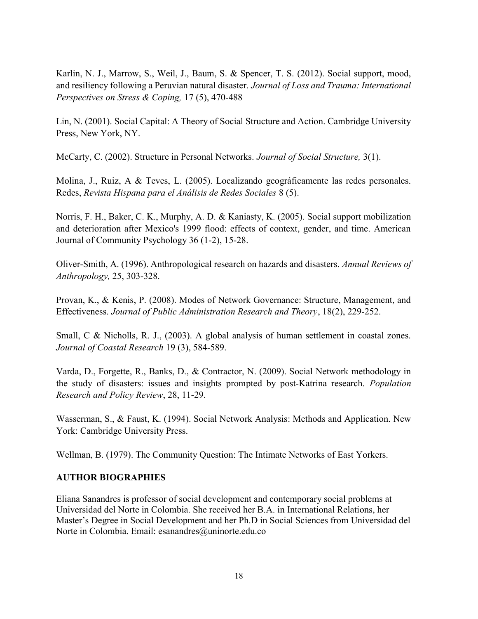Karlin, N. J., Marrow, S., Weil, J., Baum, S. & Spencer, T. S. (2012). Social support, mood, and resiliency following a Peruvian natural disaster. Journal of Loss and Trauma: International Perspectives on Stress & Coping, 17 (5), 470-488

Lin, N. (2001). Social Capital: A Theory of Social Structure and Action. Cambridge University Press, New York, NY.

McCarty, C. (2002). Structure in Personal Networks. Journal of Social Structure, 3(1).

Molina, J., Ruiz, A & Teves, L. (2005). Localizando geográficamente las redes personales. Redes, Revista Hispana para el Análisis de Redes Sociales 8 (5).

Norris, F. H., Baker, C. K., Murphy, A. D. & Kaniasty, K. (2005). Social support mobilization and deterioration after Mexico's 1999 flood: effects of context, gender, and time. American Journal of Community Psychology 36 (1-2), 15-28.

Oliver-Smith, A. (1996). Anthropological research on hazards and disasters. Annual Reviews of Anthropology, 25, 303-328.

Provan, K., & Kenis, P. (2008). Modes of Network Governance: Structure, Management, and Effectiveness. Journal of Public Administration Research and Theory, 18(2), 229-252.

Small, C & Nicholls, R. J., (2003). A global analysis of human settlement in coastal zones. Journal of Coastal Research 19 (3), 584-589.

Varda, D., Forgette, R., Banks, D., & Contractor, N. (2009). Social Network methodology in the study of disasters: issues and insights prompted by post-Katrina research. Population Research and Policy Review, 28, 11-29.

Wasserman, S., & Faust, K. (1994). Social Network Analysis: Methods and Application. New York: Cambridge University Press.

Wellman, B. (1979). The Community Question: The Intimate Networks of East Yorkers.

#### AUTHOR BIOGRAPHIES

Eliana Sanandres is professor of social development and contemporary social problems at Universidad del Norte in Colombia. She received her B.A. in International Relations, her Master's Degree in Social Development and her Ph.D in Social Sciences from Universidad del Norte in Colombia. Email: esanandres@uninorte.edu.co